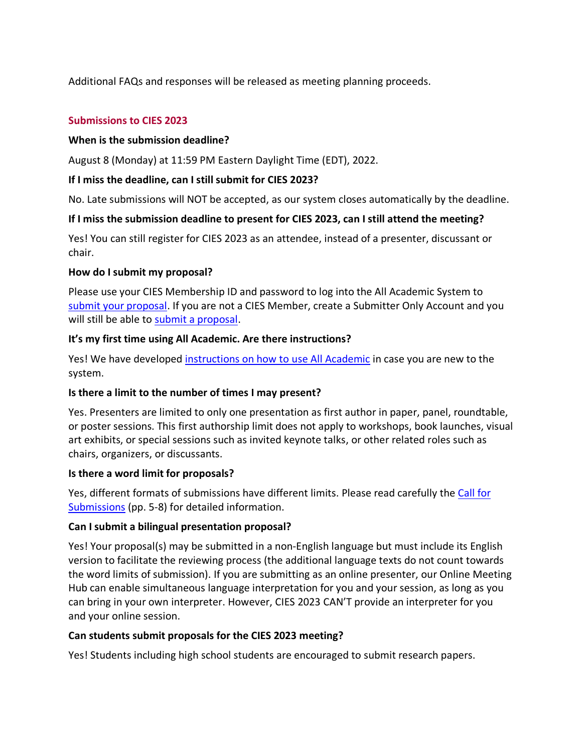Additional FAQs and responses will be released as meeting planning proceeds.

### **Submissions to CIES 2023**

### **When is the submission deadline?**

August 8 (Monday) at 11:59 PM Eastern Daylight Time (EDT), 2022.

## **If I miss the deadline, can I still submit for CIES 2023?**

No. Late submissions will NOT be accepted, as our system closes automatically by the deadline.

## **If I miss the submission deadline to present for CIES 2023, can I still attend the meeting?**

Yes! You can still register for CIES 2023 as an attendee, instead of a presenter, discussant or chair.

### **How do I submit my proposal?**

Please use your CIES Membership ID and password to log into the All Academic System to [submit your proposal.](https://cies.lasaweb.org/proposals/) If you are not a CIES Member, create a Submitter Only Account and you will still be able to [submit a proposal.](https://cies.lasaweb.org/proposals/)

## **It's my first time using All Academic. Are there instructions?**

Yes! We have develope[d instructions on how to use All Academic](http://cies2023.worksitesandbox.com/submission-information/) in case you are new to the system.

### **Is there a limit to the number of times I may present?**

Yes. Presenters are limited to only one presentation as first author in paper, panel, roundtable, or poster sessions. This first authorship limit does not apply to workshops, book launches, visual art exhibits, or special sessions such as invited keynote talks, or other related roles such as chairs, organizers, or discussants.

### **Is there a word limit for proposals?**

Yes, different formats of submissions have different limits. Please read carefully the [Call for](https://cies2023.org/wp-content/uploads/CfS_2022.pdf)  [Submissions](https://cies2023.org/wp-content/uploads/CfS_2022.pdf) (pp. 5-8) for detailed information.

### **Can I submit a bilingual presentation proposal?**

Yes! Your proposal(s) may be submitted in a non-English language but must include its English version to facilitate the reviewing process (the additional language texts do not count towards the word limits of submission). If you are submitting as an online presenter, our Online Meeting Hub can enable simultaneous language interpretation for you and your session, as long as you can bring in your own interpreter. However, CIES 2023 CAN'T provide an interpreter for you and your online session.

### **Can students submit proposals for the CIES 2023 meeting?**

Yes! Students including high school students are encouraged to submit research papers.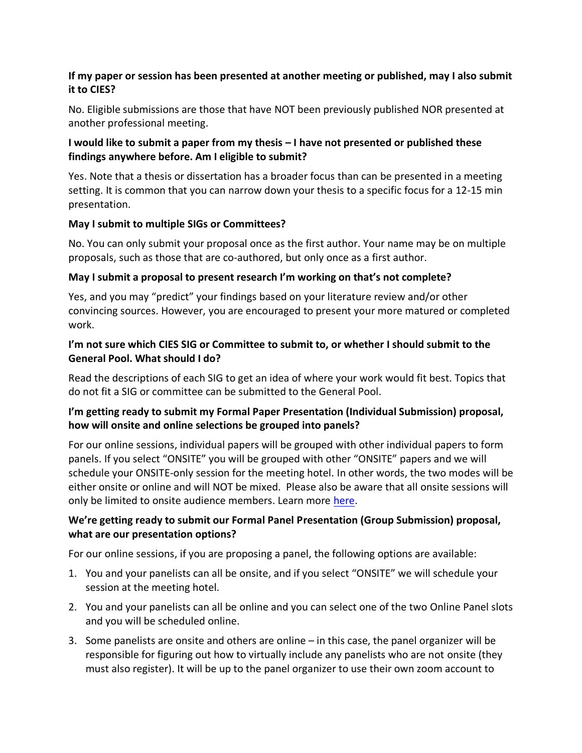## **If my paper or session has been presented at another meeting or published, may I also submit it to CIES?**

No. Eligible submissions are those that have NOT been previously published NOR presented at another professional meeting.

## **I would like to submit a paper from my thesis – I have not presented or published these findings anywhere before. Am I eligible to submit?**

Yes. Note that a thesis or dissertation has a broader focus than can be presented in a meeting setting. It is common that you can narrow down your thesis to a specific focus for a 12-15 min presentation.

## **May I submit to multiple SIGs or Committees?**

No. You can only submit your proposal once as the first author. Your name may be on multiple proposals, such as those that are co-authored, but only once as a first author.

## **May I submit a proposal to present research I'm working on that's not complete?**

Yes, and you may "predict" your findings based on your literature review and/or other convincing sources. However, you are encouraged to present your more matured or completed work.

## **I'm not sure which CIES SIG or Committee to submit to, or whether I should submit to the General Pool. What should I do?**

Read the descriptions of each SIG to get an idea of where your work would fit best. Topics that do not fit a SIG or committee can be submitted to the General Pool.

# **I'm getting ready to submit my Formal Paper Presentation (Individual Submission) proposal, how will onsite and online selections be grouped into panels?**

For our online sessions, individual papers will be grouped with other individual papers to form panels. If you select "ONSITE" you will be grouped with other "ONSITE" papers and we will schedule your ONSITE-only session for the meeting hotel. In other words, the two modes will be either onsite or online and will NOT be mixed. Please also be aware that all onsite sessions will only be limited to onsite audience members. Learn more [here.](http://cies2023.worksitesandbox.com/submission-information/)

## **We're getting ready to submit our Formal Panel Presentation (Group Submission) proposal, what are our presentation options?**

For our online sessions, if you are proposing a panel, the following options are available:

- 1. You and your panelists can all be onsite, and if you select "ONSITE" we will schedule your session at the meeting hotel.
- 2. You and your panelists can all be online and you can select one of the two Online Panel slots and you will be scheduled online.
- 3. Some panelists are onsite and others are online in this case, the panel organizer will be responsible for figuring out how to virtually include any panelists who are not onsite (they must also register). It will be up to the panel organizer to use their own zoom account to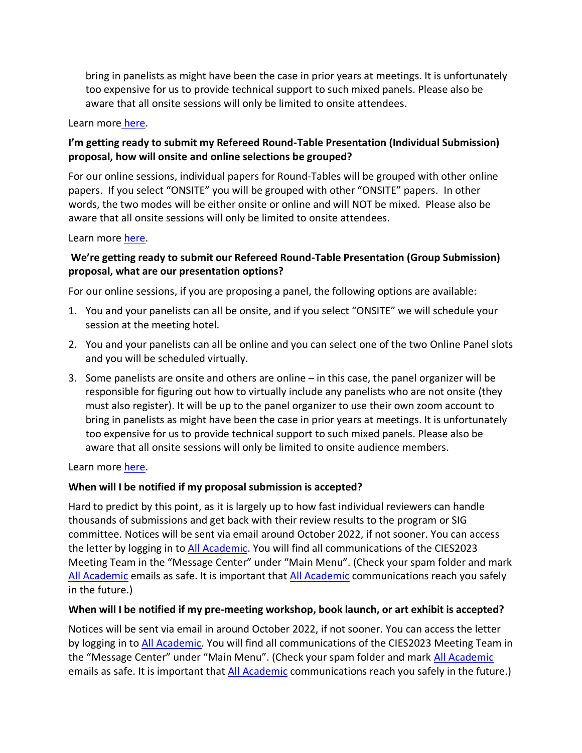bring in panelists as might have been the case in prior years at meetings. It is unfortunately too expensive for us to provide technical support to such mixed panels. Please also be aware that all onsite sessions will only be limited to onsite attendees.

#### Learn more [here.](http://cies2023.worksitesandbox.com/submission-information/)

## **I'm getting ready to submit my Refereed Round-Table Presentation (Individual Submission) proposal, how will onsite and online selections be grouped?**

For our online sessions, individual papers for Round-Tables will be grouped with other online papers. If you select "ONSITE" you will be grouped with other "ONSITE" papers. In other words, the two modes will be either onsite or online and will NOT be mixed. Please also be aware that all onsite sessions will only be limited to onsite attendees.

### Learn more [here.](http://cies2023.worksitesandbox.com/submission-information/)

# **We're getting ready to submit our Refereed Round-Table Presentation (Group Submission) proposal, what are our presentation options?**

For our online sessions, if you are proposing a panel, the following options are available:

- 1. You and your panelists can all be onsite, and if you select "ONSITE" we will schedule your session at the meeting hotel.
- 2. You and your panelists can all be online and you can select one of the two Online Panel slots and you will be scheduled virtually.
- 3. Some panelists are onsite and others are online in this case, the panel organizer will be responsible for figuring out how to virtually include any panelists who are not onsite (they must also register). It will be up to the panel organizer to use their own zoom account to bring in panelists as might have been the case in prior years at meetings. It is unfortunately too expensive for us to provide technical support to such mixed panels. Please also be aware that all onsite sessions will only be limited to onsite audience members.

Learn more [here.](http://cies2023.worksitesandbox.com/submission-information/)

## **When will I be notified if my proposal submission is accepted?**

Hard to predict by this point, as it is largely up to how fast individual reviewers can handle thousands of submissions and get back with their review results to the program or SIG committee. Notices will be sent via email around October 2022, if not sooner. You can access the letter by logging in t[o All Academic.](https://cies.lasaweb.org/) You will find all communications of the CIES2023 Meeting Team in the "Message Center" under "Main Menu". (Check your spam folder and mark [All Academic](https://cies.lasaweb.org/) emails as safe. It is important that [All Academic](https://cies.lasaweb.org/) communications reach you safely in the future.)

### **When will I be notified if my pre-meeting workshop, book launch, or art exhibit is accepted?**

Notices will be sent via email in around October 2022, if not sooner. You can access the letter by logging in to [All Academic.](https://cies.lasaweb.org/) You will find all communications of the CIES2023 Meeting Team in the "Message Center" under "Main Menu". (Check your spam folder and mark [All Academic](https://cies.lasaweb.org/) emails as safe. It is important that [All Academic](https://cies.lasaweb.org/) communications reach you safely in the future.)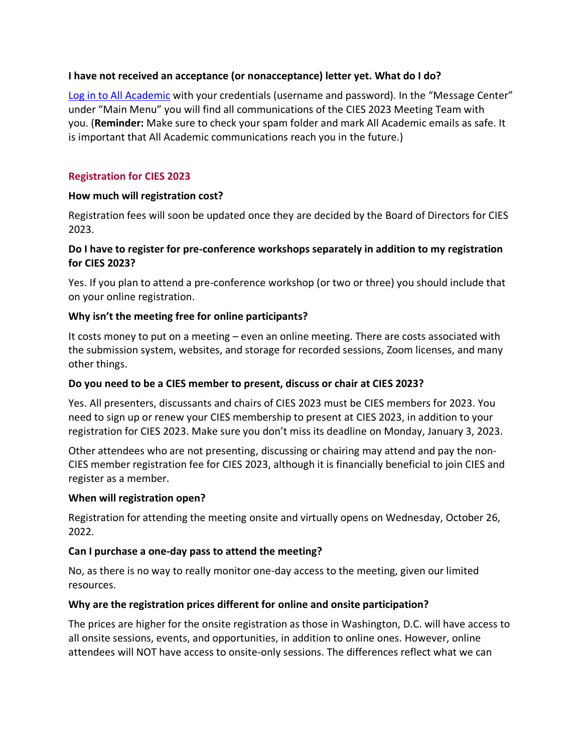### **I have not received an acceptance (or nonacceptance) letter yet. What do I do?**

[Log in to All Academic](https://cies.lasaweb.org/) with your credentials (username and password). In the "Message Center" under "Main Menu" you will find all communications of the CIES 2023 Meeting Team with you. (**Reminder:** Make sure to check your spam folder and mark All Academic emails as safe. It is important that All Academic communications reach you in the future.)

## **Registration for CIES 2023**

## **How much will registration cost?**

Registration fees will soon be updated once they are decided by the Board of Directors for CIES 2023.

### **Do I have to register for pre-conference workshops separately in addition to my registration for CIES 2023?**

Yes. If you plan to attend a pre-conference workshop (or two or three) you should include that on your online registration.

## **Why isn't the meeting free for online participants?**

It costs money to put on a meeting – even an online meeting. There are costs associated with the submission system, websites, and storage for recorded sessions, Zoom licenses, and many other things.

### **Do you need to be a CIES member to present, discuss or chair at CIES 2023?**

Yes. All presenters, discussants and chairs of CIES 2023 must be CIES members for 2023. You need to sign up or renew your CIES membership to present at CIES 2023, in addition to your registration for CIES 2023. Make sure you don't miss its deadline on Monday, January 3, 2023.

Other attendees who are not presenting, discussing or chairing may attend and pay the non-CIES member registration fee for CIES 2023, although it is financially beneficial to join CIES and register as a member.

### **When will registration open?**

Registration for attending the meeting onsite and virtually opens on Wednesday, October 26, 2022.

## **Can I purchase a one-day pass to attend the meeting?**

No, as there is no way to really monitor one-day access to the meeting, given our limited resources.

### **Why are the registration prices different for online and onsite participation?**

The prices are higher for the onsite registration as those in Washington, D.C. will have access to all onsite sessions, events, and opportunities, in addition to online ones. However, online attendees will NOT have access to onsite-only sessions. The differences reflect what we can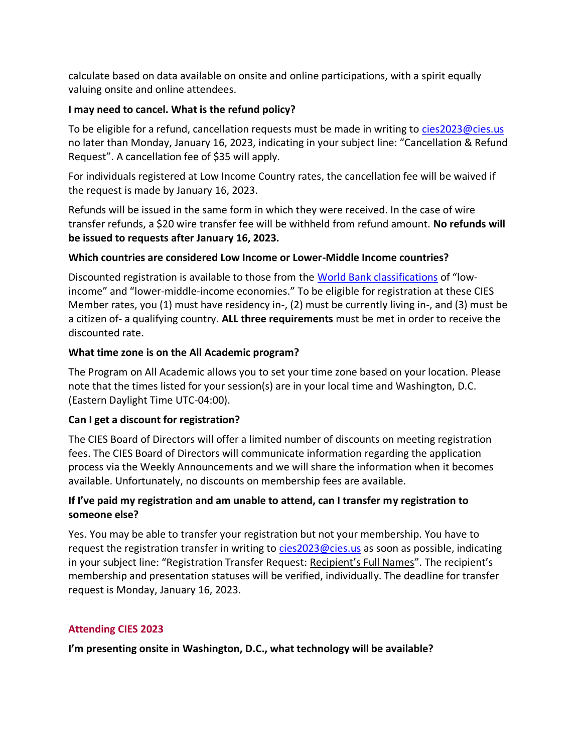calculate based on data available on onsite and online participations, with a spirit equally valuing onsite and online attendees.

## **I may need to cancel. What is the refund policy?**

To be eligible for a refund, cancellation requests must be made in writing to [cies2023@cies.us](mailto:cies2023@cies.us) no later than Monday, January 16, 2023, indicating in your subject line: "Cancellation & Refund Request". A cancellation fee of \$35 will apply.

For individuals registered at Low Income Country rates, the cancellation fee will be waived if the request is made by January 16, 2023.

Refunds will be issued in the same form in which they were received. In the case of wire transfer refunds, a \$20 wire transfer fee will be withheld from refund amount. **No refunds will be issued to requests after January 16, 2023.**

## **Which countries are considered Low Income or Lower-Middle Income countries?**

Discounted registration is available to those from the [World Bank classifications](https://datahelpdesk.worldbank.org/knowledgebase/articles/906519) of "lowincome" and "lower-middle-income economies." To be eligible for registration at these CIES Member rates, you (1) must have residency in-, (2) must be currently living in-, and (3) must be a citizen of- a qualifying country. **ALL three requirements** must be met in order to receive the discounted rate.

## **What time zone is on the All Academic program?**

The Program on All Academic allows you to set your time zone based on your location. Please note that the times listed for your session(s) are in your local time and Washington, D.C. (Eastern Daylight Time UTC-04:00).

## **Can I get a discount for registration?**

The CIES Board of Directors will offer a limited number of discounts on meeting registration fees. The CIES Board of Directors will communicate information regarding the application process via the Weekly Announcements and we will share the information when it becomes available. Unfortunately, no discounts on membership fees are available.

# **If I've paid my registration and am unable to attend, can I transfer my registration to someone else?**

Yes. You may be able to transfer your registration but not your membership. You have to request the registration transfer in writing to [cies2023@cies.us](mailto:cies2023@cies.us) as soon as possible, indicating in your subject line: "Registration Transfer Request: Recipient's Full Names". The recipient's membership and presentation statuses will be verified, individually. The deadline for transfer request is Monday, January 16, 2023.

## **Attending CIES 2023**

**I'm presenting onsite in Washington, D.C., what technology will be available?**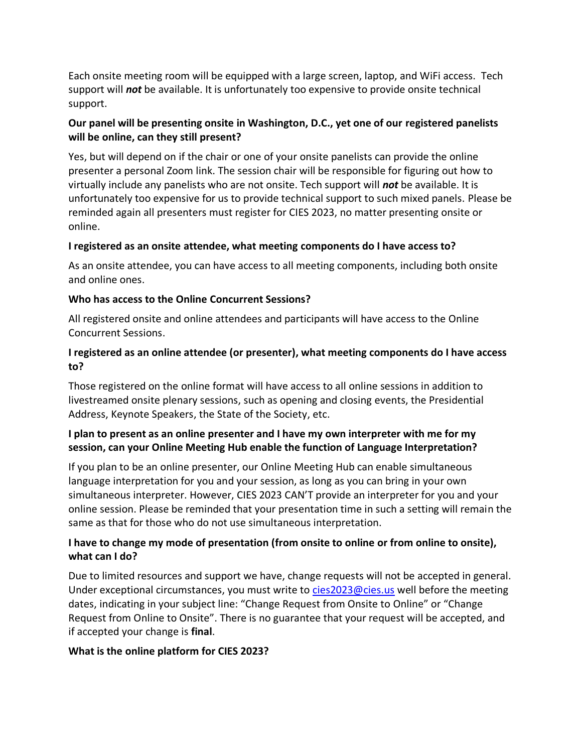Each onsite meeting room will be equipped with a large screen, laptop, and WiFi access. Tech support will *not* be available. It is unfortunately too expensive to provide onsite technical support.

## **Our panel will be presenting onsite in Washington, D.C., yet one of our registered panelists will be online, can they still present?**

Yes, but will depend on if the chair or one of your onsite panelists can provide the online presenter a personal Zoom link. The session chair will be responsible for figuring out how to virtually include any panelists who are not onsite. Tech support will *not* be available. It is unfortunately too expensive for us to provide technical support to such mixed panels. Please be reminded again all presenters must register for CIES 2023, no matter presenting onsite or online.

## **I registered as an onsite attendee, what meeting components do I have access to?**

As an onsite attendee, you can have access to all meeting components, including both onsite and online ones.

## **Who has access to the Online Concurrent Sessions?**

All registered onsite and online attendees and participants will have access to the Online Concurrent Sessions.

## **I registered as an online attendee (or presenter), what meeting components do I have access to?**

Those registered on the online format will have access to all online sessions in addition to livestreamed onsite plenary sessions, such as opening and closing events, the Presidential Address, Keynote Speakers, the State of the Society, etc.

# **I plan to present as an online presenter and I have my own interpreter with me for my session, can your Online Meeting Hub enable the function of Language Interpretation?**

If you plan to be an online presenter, our Online Meeting Hub can enable simultaneous language interpretation for you and your session, as long as you can bring in your own simultaneous interpreter. However, CIES 2023 CAN'T provide an interpreter for you and your online session. Please be reminded that your presentation time in such a setting will remain the same as that for those who do not use simultaneous interpretation.

# **I have to change my mode of presentation (from onsite to online or from online to onsite), what can I do?**

Due to limited resources and support we have, change requests will not be accepted in general. Under exceptional circumstances, you must write to [cies2023@cies.us](mailto:cies2023@cies.us) well before the meeting dates, indicating in your subject line: "Change Request from Onsite to Online" or "Change Request from Online to Onsite". There is no guarantee that your request will be accepted, and if accepted your change is **final**.

## **What is the online platform for CIES 2023?**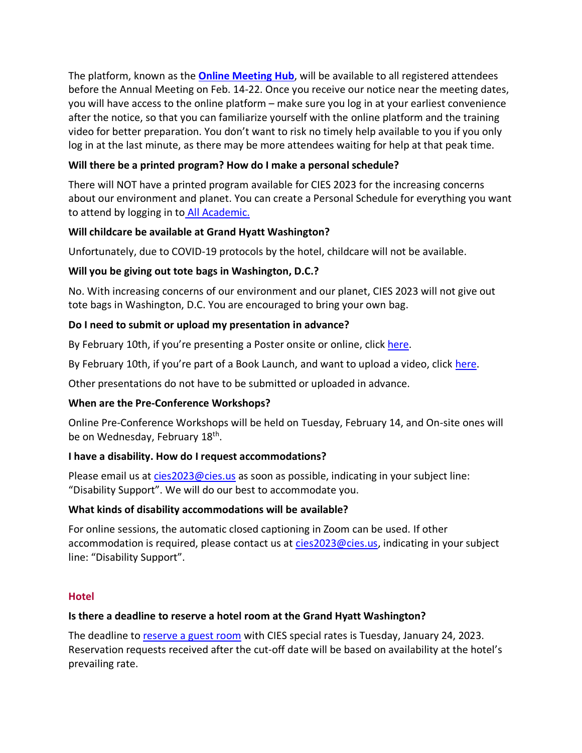The platform, known as the **[Online Meeting Hub](https://cies2023.org/virtual-conference-2023)**, will be available to all registered attendees before the Annual Meeting on Feb. 14-22. Once you receive our notice near the meeting dates, you will have access to the online platform – make sure you log in at your earliest convenience after the notice, so that you can familiarize yourself with the online platform and the training video for better preparation. You don't want to risk no timely help available to you if you only log in at the last minute, as there may be more attendees waiting for help at that peak time.

# **Will there be a printed program? How do I make a personal schedule?**

There will NOT have a printed program available for CIES 2023 for the increasing concerns about our environment and planet. You can create a Personal Schedule for everything you want to attend by logging in to [All Academic.](https://cies.lasaweb.org/)

# **Will childcare be available at Grand Hyatt Washington?**

Unfortunately, due to COVID-19 protocols by the hotel, childcare will not be available.

# **Will you be giving out tote bags in Washington, D.C.?**

No. With increasing concerns of our environment and our planet, CIES 2023 will not give out tote bags in Washington, D.C. You are encouraged to bring your own bag.

# **Do I need to submit or upload my presentation in advance?**

By February 10th, if you're presenting a Poster onsite or online, clic[k here.](http://cies2023.worksitesandbox.com/instructions-for-poster-presentation/)

By February 10th, if you're part of a Book Launch, and want to upload a video, click [here.](http://cies2023.worksitesandbox.com/instructions-for-book-launches/)

Other presentations do not have to be submitted or uploaded in advance.

# **When are the Pre-Conference Workshops?**

Online Pre-Conference Workshops will be held on Tuesday, February 14, and On-site ones will be on Wednesday, February 18<sup>th</sup>.

## **I have a disability. How do I request accommodations?**

Please email us at [cies2023@cies.us](mailto:cies2023@cies.us) as soon as possible, indicating in your subject line: "Disability Support". We will do our best to accommodate you.

## **What kinds of disability accommodations will be available?**

For online sessions, the automatic closed captioning in Zoom can be used. If other accommodation is required, please contact us at [cies2023@cies.us,](mailto:cies2023@cies.us) indicating in your subject line: "Disability Support".

## **Hotel**

## **Is there a deadline to reserve a hotel room at the Grand Hyatt Washington?**

The deadline to [reserve a guest room](https://www.hyatt.com/en-US/group-booking/WASGH/G-SEIC) with CIES special rates is Tuesday, January 24, 2023. Reservation requests received after the cut-off date will be based on availability at the hotel's prevailing rate.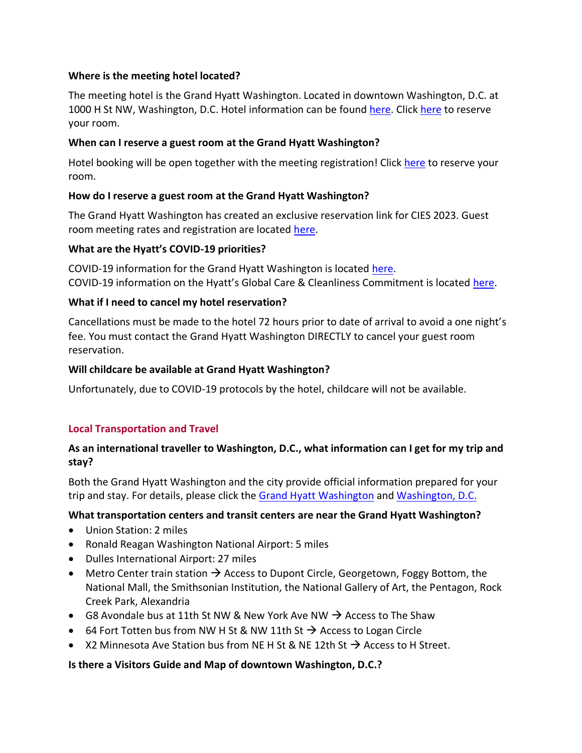## **Where is the meeting hotel located?**

The meeting hotel is the Grand Hyatt Washington. Located in downtown Washington, D.C. at 1000 H St NW, Washington, D.C. Hotel information can be found [here.](https://www.hyatt.com/en-US/hotel/washington-dc/grand-hyatt-washington/wasgh) Click [here](https://www.hyatt.com/en-US/group-booking/WASGH/G-SEIC) to reserve your room.

## **When can I reserve a guest room at the Grand Hyatt Washington?**

Hotel booking will be open together with the meeting registration! Click [here](https://www.hyatt.com/en-US/group-booking/WASGH/G-SEIC) to reserve your room.

## **How do I reserve a guest room at the Grand Hyatt Washington?**

The Grand Hyatt Washington has created an exclusive reservation link for CIES 2023. Guest room meeting rates and registration are located [here.](https://www.hyatt.com/en-US/group-booking/WASGH/G-SEIC)

## **What are the Hyatt's COVID-19 priorities?**

COVID-19 information for the Grand Hyatt Washington is located [here.](https://www.hyatt.com/en-US/hotel/washington-dc/grand-hyatt-washington/wasgh) COVID-19 information on the Hyatt's Global Care & Cleanliness Commitment is located [here.](https://www.hyatt.com/en-US/info/coronavirus-statement?icamp=psr_cvstatement_jan2020_alertbanner_en)

## **What if I need to cancel my hotel reservation?**

Cancellations must be made to the hotel 72 hours prior to date of arrival to avoid a one night's fee. You must contact the Grand Hyatt Washington DIRECTLY to cancel your guest room reservation.

## **Will childcare be available at Grand Hyatt Washington?**

Unfortunately, due to COVID-19 protocols by the hotel, childcare will not be available.

## **Local Transportation and Travel**

## **As an international traveller to Washington, D.C., what information can I get for my trip and stay?**

Both the Grand Hyatt Washington and the city provide official information prepared for your trip and stay. For details, please click the [Grand Hyatt Washington](https://www.hyatt.com/en-US/hotel/washington-dc/grand-hyatt-washington/wasgh/dining) and [Washington, D.C.](https://washington.org/groups/DC-information/international-visitors)

## **What transportation centers and transit centers are near the Grand Hyatt Washington?**

- Union Station: 2 miles
- Ronald Reagan Washington National Airport: 5 miles
- Dulles International Airport: 27 miles
- Metro Center train station  $\rightarrow$  Access to Dupont Circle, Georgetown, Foggy Bottom, the National Mall, the Smithsonian Institution, the National Gallery of Art, the Pentagon, Rock Creek Park, Alexandria
- G8 Avondale bus at 11th St NW & New York Ave NW  $\rightarrow$  Access to The Shaw
- 64 Fort Totten bus from NW H St & NW 11th St  $\rightarrow$  Access to Logan Circle
- X2 Minnesota Ave Station bus from NE H St & NE 12th St  $\rightarrow$  Access to H Street.

## **Is there a Visitors Guide and Map of downtown Washington, D.C.?**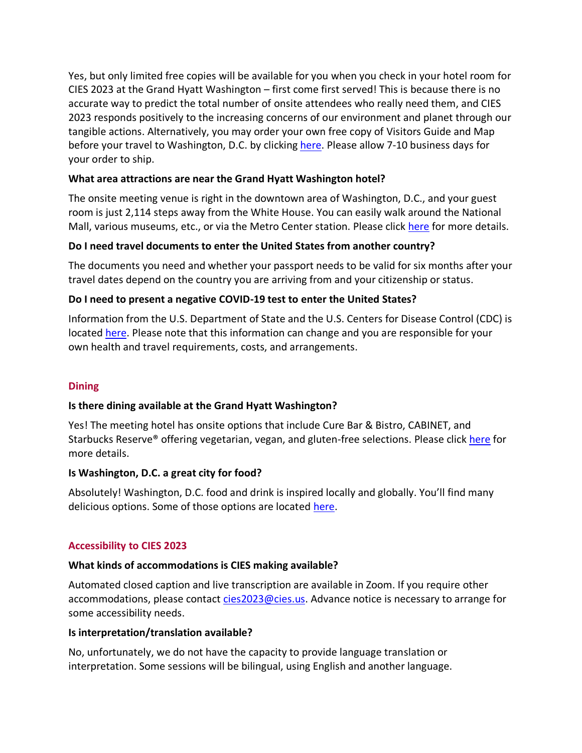Yes, but only limited free copies will be available for you when you check in your hotel room for CIES 2023 at the Grand Hyatt Washington – first come first served! This is because there is no accurate way to predict the total number of onsite attendees who really need them, and CIES 2023 responds positively to the increasing concerns of our environment and planet through our tangible actions. Alternatively, you may order your own free copy of Visitors Guide and Map before your travel to Washington, D.C. by clicking [here.](https://washington.org/visitors-guide) Please allow 7-10 business days for your order to ship.

## **What area attractions are near the Grand Hyatt Washington hotel?**

The onsite meeting venue is right in the downtown area of Washington, D.C., and your guest room is just 2,114 steps away from the White House. You can easily walk around the National Mall, various museums, etc., or via the Metro Center station. Please click [here](https://www.hyatt.com/en-US/hotel/washington-dc/grand-hyatt-washington/wasgh/area-attractions) for more details.

## **Do I need travel documents to enter the United States from another country?**

The documents you need and whether your passport needs to be valid for six months after your travel dates depend on the country you are arriving from and your citizenship or status.

## **Do I need to present a negative COVID-19 test to enter the United States?**

Information from the U.S. Department of State and the U.S. Centers for Disease Control (CDC) is located [here.](https://travel.state.gov/content/travel/en/international-travel/before-you-go/covid-19_testing_required_US_Entry.html) Please note that this information can change and you are responsible for your own health and travel requirements, costs, and arrangements.

## **Dining**

### **Is there dining available at the Grand Hyatt Washington?**

Yes! The meeting hotel has onsite options that include Cure Bar & Bistro, CABINET, and Starbucks Reserve® offering vegetarian, vegan, and gluten-free selections. Please clic[k here](https://www.hyatt.com/en-US/hotel/washington-dc/grand-hyatt-washington/wasgh/dining) for more details.

### **Is Washington, D.C. a great city for food?**

Absolutely! Washington, D.C. food and drink is inspired locally and globally. You'll find many delicious options. Some of those options are located [here.](https://washington.org/visit-dc/bib-gourmand-michelin-guide-restaurants-washington-dc)

### **Accessibility to CIES 2023**

### **What kinds of accommodations is CIES making available?**

Automated closed caption and live transcription are available in Zoom. If you require other accommodations, please contact [cies2023@cies.us.](mailto:cies2023@cies.us) Advance notice is necessary to arrange for some accessibility needs.

### **Is interpretation/translation available?**

No, unfortunately, we do not have the capacity to provide language translation or interpretation. Some sessions will be bilingual, using English and another language.